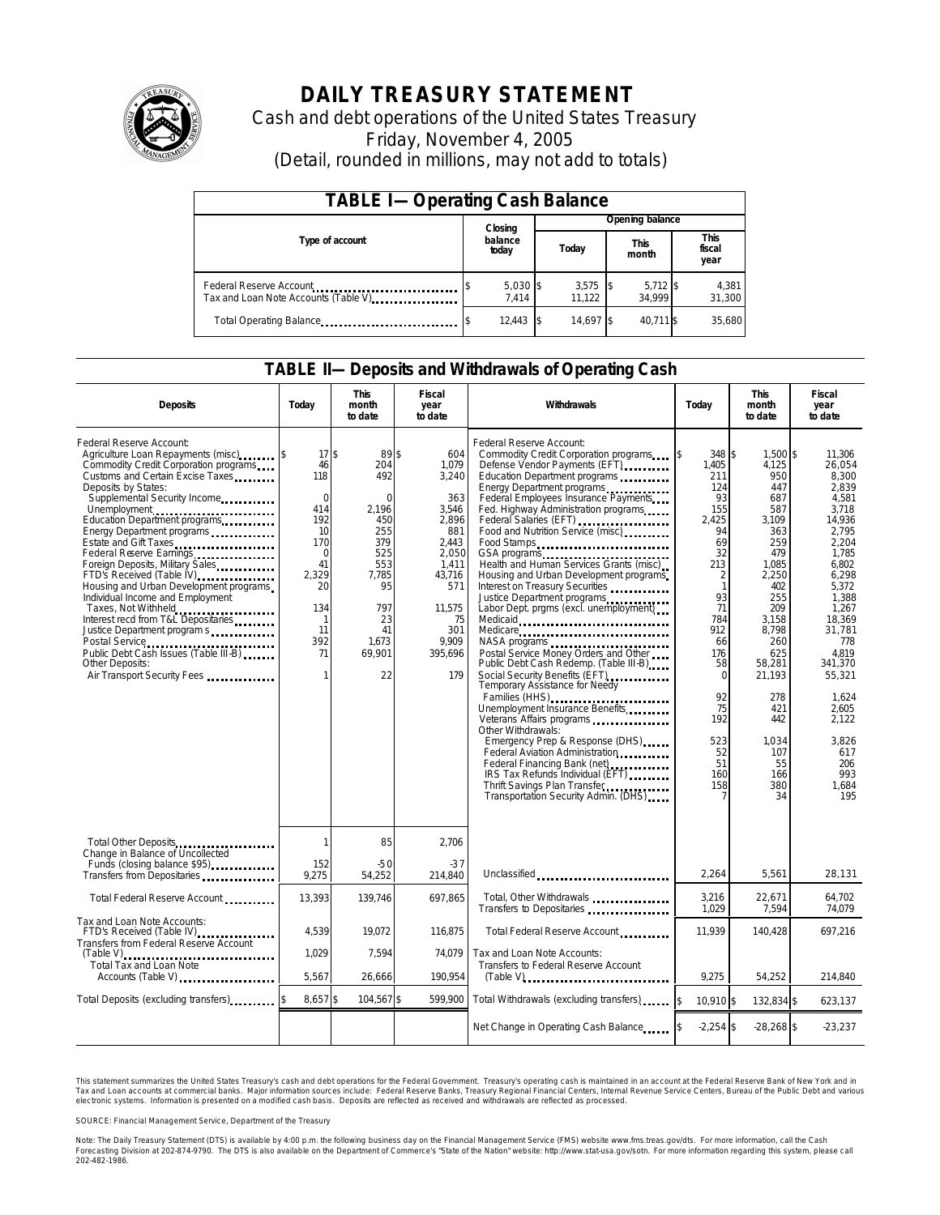

# **DAILY TREASURY STATEMENT**

Cash and debt operations of the United States Treasury Friday, November 4, 2005 (Detail, rounded in millions, may not add to totals)

| <b>TABLE I-Operating Cash Balance</b>                            |                            |                     |  |                 |  |                      |  |                               |
|------------------------------------------------------------------|----------------------------|---------------------|--|-----------------|--|----------------------|--|-------------------------------|
|                                                                  | Opening balance<br>Closing |                     |  |                 |  |                      |  |                               |
| Type of account                                                  |                            | balance<br>today    |  | Today           |  | <b>This</b><br>month |  | <b>This</b><br>fiscal<br>year |
| Federal Reserve Account<br>Tax and Loan Note Accounts (Table V). |                            | $5,030$ \$<br>7.414 |  | 3,575<br>11.122 |  | $5,712$ \$<br>34.999 |  | 4,381<br>31,300               |
| Total Operating Balance                                          |                            | 12.443              |  | 14.697 \$       |  | 40.711 \$            |  | 35.680                        |

#### **TABLE II—Deposits and Withdrawals of Operating Cash**

| <b>Deposits</b>                                                                                                                                                                                                                                                                                                                                                                                                                                                                                                                                                                                                                           | Today                                                                                                                                        | <b>This</b><br>month<br>to date                                                                                                       | <b>Fiscal</b><br>year<br>to date                                                                                                                    | Withdrawals<br>Today                                                                                                                                                                                                                                                                                                                                                                                                                                                                                                                                                                                                                                                                                                                                                                                                                                                                                                                                                                                                                                   |                                                                                                                                                                                                                                   | <b>This</b><br>month<br>to date                                                                                                                                                                                                       | <b>Fiscal</b><br>year<br>to date                                                                                                                                                                                                                                         |
|-------------------------------------------------------------------------------------------------------------------------------------------------------------------------------------------------------------------------------------------------------------------------------------------------------------------------------------------------------------------------------------------------------------------------------------------------------------------------------------------------------------------------------------------------------------------------------------------------------------------------------------------|----------------------------------------------------------------------------------------------------------------------------------------------|---------------------------------------------------------------------------------------------------------------------------------------|-----------------------------------------------------------------------------------------------------------------------------------------------------|--------------------------------------------------------------------------------------------------------------------------------------------------------------------------------------------------------------------------------------------------------------------------------------------------------------------------------------------------------------------------------------------------------------------------------------------------------------------------------------------------------------------------------------------------------------------------------------------------------------------------------------------------------------------------------------------------------------------------------------------------------------------------------------------------------------------------------------------------------------------------------------------------------------------------------------------------------------------------------------------------------------------------------------------------------|-----------------------------------------------------------------------------------------------------------------------------------------------------------------------------------------------------------------------------------|---------------------------------------------------------------------------------------------------------------------------------------------------------------------------------------------------------------------------------------|--------------------------------------------------------------------------------------------------------------------------------------------------------------------------------------------------------------------------------------------------------------------------|
| Federal Reserve Account:<br>Agriculture Loan Repayments (misc) [\$<br>Commodity Credit Corporation programs<br>Customs and Certain Excise Taxes<br>Deposits by States:<br>Supplemental Security Income<br>Education Department programs<br>Energy Department programs<br>Federal Reserve Earnings<br>Foreign Deposits, Military Sales<br>FTD's Received (Table IV)<br>Housing and Urban Development programs<br>Individual Income and Employment<br>Taxes, Not Withheld<br>Interest recd from T&L Depositaries<br>Justice Department program s<br>Public Debt Cash Issues (Table III-B)<br>Other Deposits:<br>Air Transport Security Fees | 17 <sup>5</sup><br>46<br>118<br>$\mathbf 0$<br>414<br>192<br>10<br>170<br>$\Omega$<br>41<br>2,329<br>20<br>134<br>-1<br>11<br>392<br>71<br>1 | 89\$<br>204<br>492<br>$\Omega$<br>2.196<br>450<br>255<br>379<br>525<br>553<br>7,785<br>95<br>797<br>23<br>41<br>1.673<br>69,901<br>22 | 604<br>1,079<br>3,240<br>363<br>3,546<br>2,896<br>881<br>2.443<br>2.050<br>1.411<br>43,716<br>571<br>11,575<br>75<br>301<br>9.909<br>395,696<br>179 | Federal Reserve Account:<br>Commodity Credit Corporation programs<br>Defense Vendor Payments (EFT)<br>Education Department programs<br>Energy Department programs<br>Federal Employees Insurance Payments<br>Fed. Highway Administration programs<br>Federal Salaries (EFT)<br>Federal Salaries (EFT)<br>Food and Nutrition Service (misc)<br>Food Stamps<br>GSA programs<br>Health and Human Services Grants (misc)<br>Housing and Urban Development programs<br>Interest on Treasury Securities<br>Justice Department programs<br>Labor Dept. prgms (excl. unemployment)<br>Medicaid<br>Medicare<br>Postal Service Money Orders and Other<br>Public Debt Cash Redemp. (Table III-B)<br>Social Security Benefits (EFT)<br>Temporary Assistance for Needy<br>Families (HHS)<br>Unemployment Insurance Benefits<br>Other Withdrawals:<br>Emergency Prep & Response (DHS)<br>Federal Aviation Administration<br>Federal Financing Bank (net)<br>IRS Tax Refunds Individual (EFT)<br>Thrift Savings Plan Transfer<br>Transportation Security Admin. (DHS) | 348 \$<br>ß.<br>1,405<br>211<br>124<br>93<br>155<br>2.425<br>94<br>69<br>32<br>213<br>$\overline{2}$<br>$\mathbf{1}$<br>93<br>71<br>784<br>912<br>66<br>176<br>58<br>$\Omega$<br>92<br>75<br>192<br>523<br>52<br>51<br>160<br>158 | 1.500 \$<br>4,125<br>950<br>447<br>687<br>587<br>3,109<br>363<br>259<br>479<br>1,085<br>2,250<br>402<br>255<br>209<br>3.158<br>8.798<br>260<br>625<br>58,281<br>21,193<br>278<br>421<br>442<br>1.034<br>107<br>55<br>166<br>380<br>34 | 11.306<br>26,054<br>8,300<br>2.839<br>4,581<br>3.718<br>14,936<br>2.795<br>2.204<br>1.785<br>6.802<br>6,298<br>5.372<br>1,388<br>1.267<br>18.369<br>31.781<br>778<br>4.819<br>341,370<br>55,321<br>1.624<br>2,605<br>2.122<br>3.826<br>617<br>206<br>993<br>1,684<br>195 |
| Total Other Deposits<br>Change in Balance of Uncollected<br>Funds (closing balance \$95)<br>Funds (closing balance \$95)                                                                                                                                                                                                                                                                                                                                                                                                                                                                                                                  | 1<br>152                                                                                                                                     | 85<br>$-50$                                                                                                                           | 2.706<br>$-37$                                                                                                                                      |                                                                                                                                                                                                                                                                                                                                                                                                                                                                                                                                                                                                                                                                                                                                                                                                                                                                                                                                                                                                                                                        |                                                                                                                                                                                                                                   |                                                                                                                                                                                                                                       |                                                                                                                                                                                                                                                                          |
| Transfers from Depositaries                                                                                                                                                                                                                                                                                                                                                                                                                                                                                                                                                                                                               | 9,275                                                                                                                                        | 54,252                                                                                                                                | 214,840                                                                                                                                             | Unclassified                                                                                                                                                                                                                                                                                                                                                                                                                                                                                                                                                                                                                                                                                                                                                                                                                                                                                                                                                                                                                                           | 2,264                                                                                                                                                                                                                             | 5,561                                                                                                                                                                                                                                 | 28,131                                                                                                                                                                                                                                                                   |
| Total Federal Reserve Account                                                                                                                                                                                                                                                                                                                                                                                                                                                                                                                                                                                                             | 13,393                                                                                                                                       | 139,746                                                                                                                               | 697,865                                                                                                                                             | Total, Other Withdrawals<br>Transfers to Depositaries                                                                                                                                                                                                                                                                                                                                                                                                                                                                                                                                                                                                                                                                                                                                                                                                                                                                                                                                                                                                  | 3,216<br>1,029                                                                                                                                                                                                                    | 22,671<br>7,594                                                                                                                                                                                                                       | 64,702<br>74,079                                                                                                                                                                                                                                                         |
| Tax and Loan Note Accounts:<br>FTD's Received (Table IV)<br>Transfers from Federal Reserve Account                                                                                                                                                                                                                                                                                                                                                                                                                                                                                                                                        | 4.539                                                                                                                                        | 19,072                                                                                                                                | 116,875                                                                                                                                             | Total Federal Reserve Account.                                                                                                                                                                                                                                                                                                                                                                                                                                                                                                                                                                                                                                                                                                                                                                                                                                                                                                                                                                                                                         | 11.939                                                                                                                                                                                                                            | 140,428                                                                                                                                                                                                                               | 697,216                                                                                                                                                                                                                                                                  |
| $(Table V)$<br><b>Total Tax and Loan Note</b><br>Accounts (Table V)                                                                                                                                                                                                                                                                                                                                                                                                                                                                                                                                                                       | 1.029<br>5,567                                                                                                                               | 7.594<br>26,666                                                                                                                       | 74.079<br>190,954                                                                                                                                   | Tax and Loan Note Accounts:<br>Transfers to Federal Reserve Account<br>$(Table V)$ , $\ldots$ , $\ldots$ , $\ldots$ , $\ldots$ , $\ldots$ , $\ldots$ , $\ldots$ , $\ldots$                                                                                                                                                                                                                                                                                                                                                                                                                                                                                                                                                                                                                                                                                                                                                                                                                                                                             | 9,275                                                                                                                                                                                                                             | 54,252                                                                                                                                                                                                                                | 214,840                                                                                                                                                                                                                                                                  |
| Total Deposits (excluding transfers)                                                                                                                                                                                                                                                                                                                                                                                                                                                                                                                                                                                                      | 8,657\$                                                                                                                                      | 104,567 \$                                                                                                                            | 599,900                                                                                                                                             | Total Withdrawals (excluding transfers)                                                                                                                                                                                                                                                                                                                                                                                                                                                                                                                                                                                                                                                                                                                                                                                                                                                                                                                                                                                                                | $\overline{\mathbf{S}}$<br>10,910 \$                                                                                                                                                                                              | 132,834 \$                                                                                                                                                                                                                            | 623,137                                                                                                                                                                                                                                                                  |
|                                                                                                                                                                                                                                                                                                                                                                                                                                                                                                                                                                                                                                           |                                                                                                                                              |                                                                                                                                       |                                                                                                                                                     | Net Change in Operating Cash Balance                                                                                                                                                                                                                                                                                                                                                                                                                                                                                                                                                                                                                                                                                                                                                                                                                                                                                                                                                                                                                   | $-2,254$ \$                                                                                                                                                                                                                       | $-28,268$ \$                                                                                                                                                                                                                          | $-23,237$                                                                                                                                                                                                                                                                |

This statement summarizes the United States Treasury's cash and debt operations for the Federal Government. Treasury's operating cash is maintained in an account at the Federal Reserve Bank of New York and in Tax and Loan accounts at commercial banks. Major information sources include: Federal Reserve Banks, Treasury Regional Financial Centers, Internal Revenue Service Centers, Bureau of the Public Debt and various<br>electronic s

SOURCE: Financial Management Service, Department of the Treasury

Note: The Daily Treasury Statement (DTS) is available by 4:00 p.m. the following business day on the Finandal Management Service (FMS) website www.fms.treas.gov/dts. For more information, call the Cash<br>Forecasting Division 'S) is available by 4:00 p.m. the following business day on the Finandal Management Service (FMS) website www.fms.treas.gov/dts. For more information, call the Cash<br>The DTS is also available on the Department of Commerce's